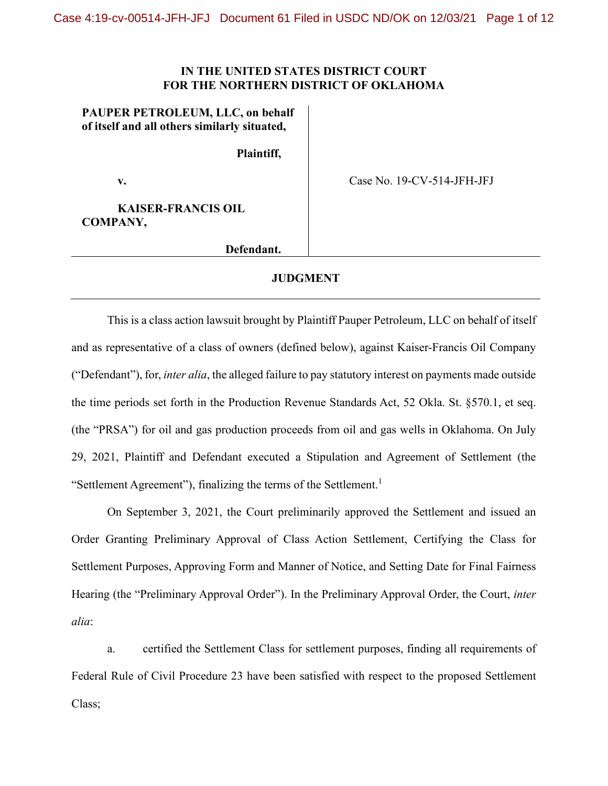## **IN THE UNITED STATES DISTRICT COURT FOR THE NORTHERN DISTRICT OF OKLAHOMA**

**PAUPER PETROLEUM, LLC, on behalf of itself and all others similarly situated,**

**Plaintiff,**

**v.**

Case No. 19-CV-514-JFH-JFJ

**KAISER-FRANCIS OIL COMPANY,**

**Defendant.**

## **JUDGMENT**

This is a class action lawsuit brought by Plaintiff Pauper Petroleum, LLC on behalf of itself and as representative of a class of owners (defined below), against Kaiser-Francis Oil Company ("Defendant"), for, *inter alia*, the alleged failure to pay statutory interest on payments made outside the time periods set forth in the Production Revenue Standards Act, 52 Okla. St. §570.1, et seq. (the "PRSA") for oil and gas production proceeds from oil and gas wells in Oklahoma. On July 29, 2021, Plaintiff and Defendant executed a Stipulation and Agreement of Settlement (the "Settlement Agreement"), finalizing the terms of the Settlement.<sup>1</sup>

On September 3, 2021, the Court preliminarily approved the Settlement and issued an Order Granting Preliminary Approval of Class Action Settlement, Certifying the Class for Settlement Purposes, Approving Form and Manner of Notice, and Setting Date for Final Fairness Hearing (the "Preliminary Approval Order"). In the Preliminary Approval Order, the Court, *inter alia*:

a. certified the Settlement Class for settlement purposes, finding all requirements of Federal Rule of Civil Procedure 23 have been satisfied with respect to the proposed Settlement Class;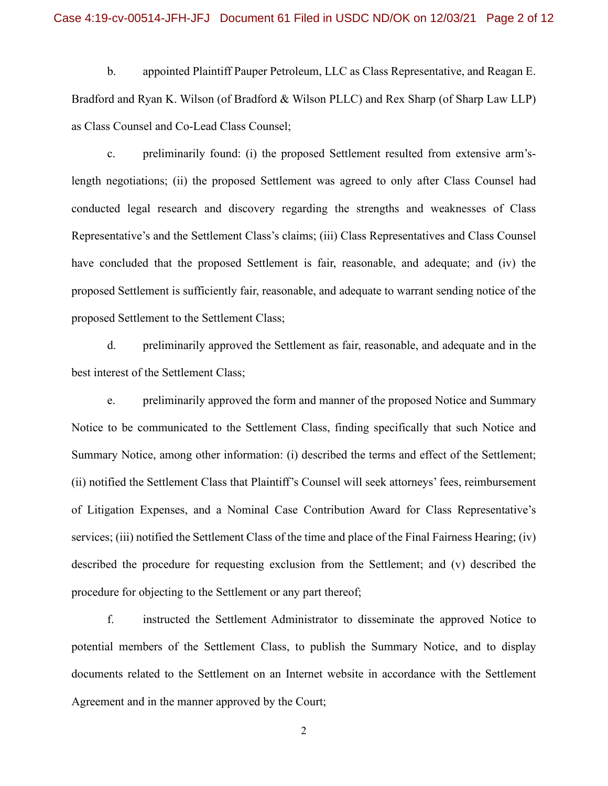b. appointed Plaintiff Pauper Petroleum, LLC as Class Representative, and Reagan E. Bradford and Ryan K. Wilson (of Bradford & Wilson PLLC) and Rex Sharp (of Sharp Law LLP) as Class Counsel and Co-Lead Class Counsel;

c. preliminarily found: (i) the proposed Settlement resulted from extensive arm'slength negotiations; (ii) the proposed Settlement was agreed to only after Class Counsel had conducted legal research and discovery regarding the strengths and weaknesses of Class Representative's and the Settlement Class's claims; (iii) Class Representatives and Class Counsel have concluded that the proposed Settlement is fair, reasonable, and adequate; and (iv) the proposed Settlement is sufficiently fair, reasonable, and adequate to warrant sending notice of the proposed Settlement to the Settlement Class;

d. preliminarily approved the Settlement as fair, reasonable, and adequate and in the best interest of the Settlement Class;

e. preliminarily approved the form and manner of the proposed Notice and Summary Notice to be communicated to the Settlement Class, finding specifically that such Notice and Summary Notice, among other information: (i) described the terms and effect of the Settlement; (ii) notified the Settlement Class that Plaintiff's Counsel will seek attorneys' fees, reimbursement of Litigation Expenses, and a Nominal Case Contribution Award for Class Representative's services; (iii) notified the Settlement Class of the time and place of the Final Fairness Hearing; (iv) described the procedure for requesting exclusion from the Settlement; and (v) described the procedure for objecting to the Settlement or any part thereof;

f. instructed the Settlement Administrator to disseminate the approved Notice to potential members of the Settlement Class, to publish the Summary Notice, and to display documents related to the Settlement on an Internet website in accordance with the Settlement Agreement and in the manner approved by the Court;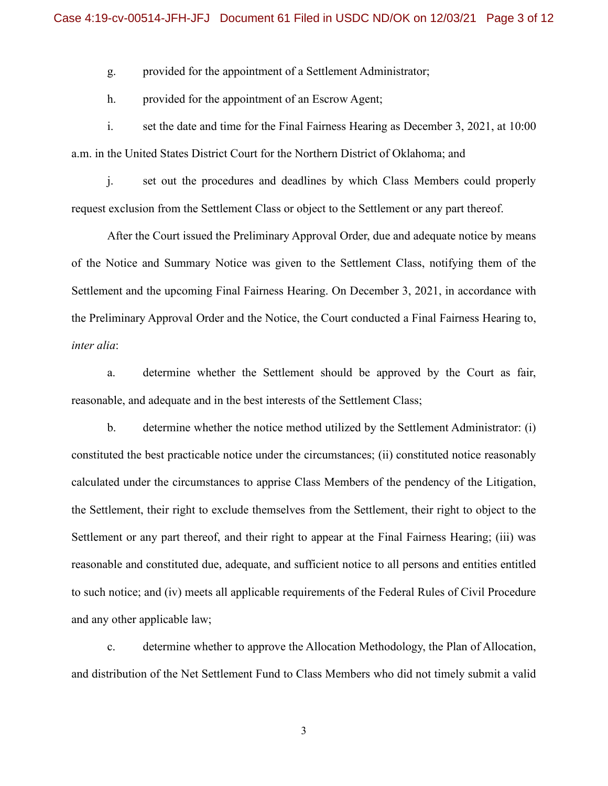g. provided for the appointment of a Settlement Administrator;

h. provided for the appointment of an Escrow Agent;

i. set the date and time for the Final Fairness Hearing as December 3, 2021, at 10:00 a.m. in the United States District Court for the Northern District of Oklahoma; and

j. set out the procedures and deadlines by which Class Members could properly request exclusion from the Settlement Class or object to the Settlement or any part thereof.

After the Court issued the Preliminary Approval Order, due and adequate notice by means of the Notice and Summary Notice was given to the Settlement Class, notifying them of the Settlement and the upcoming Final Fairness Hearing. On December 3, 2021, in accordance with the Preliminary Approval Order and the Notice, the Court conducted a Final Fairness Hearing to, *inter alia*:

a. determine whether the Settlement should be approved by the Court as fair, reasonable, and adequate and in the best interests of the Settlement Class;

b. determine whether the notice method utilized by the Settlement Administrator: (i) constituted the best practicable notice under the circumstances; (ii) constituted notice reasonably calculated under the circumstances to apprise Class Members of the pendency of the Litigation, the Settlement, their right to exclude themselves from the Settlement, their right to object to the Settlement or any part thereof, and their right to appear at the Final Fairness Hearing; (iii) was reasonable and constituted due, adequate, and sufficient notice to all persons and entities entitled to such notice; and (iv) meets all applicable requirements of the Federal Rules of Civil Procedure and any other applicable law;

c. determine whether to approve the Allocation Methodology, the Plan of Allocation, and distribution of the Net Settlement Fund to Class Members who did not timely submit a valid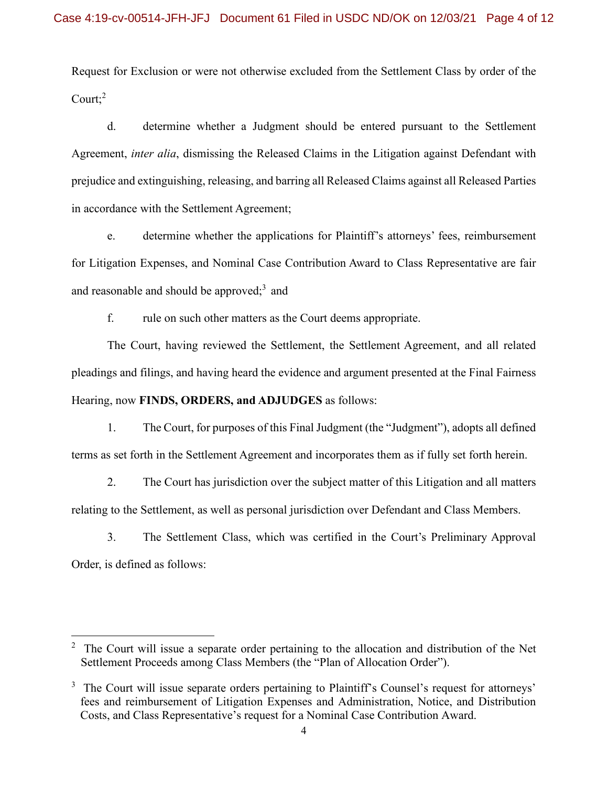Request for Exclusion or were not otherwise excluded from the Settlement Class by order of the Court; $2$ 

d. determine whether a Judgment should be entered pursuant to the Settlement Agreement, *inter alia*, dismissing the Released Claims in the Litigation against Defendant with prejudice and extinguishing, releasing, and barring all Released Claims against all Released Parties in accordance with the Settlement Agreement;

e. determine whether the applications for Plaintiff's attorneys' fees, reimbursement for Litigation Expenses, and Nominal Case Contribution Award to Class Representative are fair and reasonable and should be approved; $^3$  and

f. rule on such other matters as the Court deems appropriate.

The Court, having reviewed the Settlement, the Settlement Agreement, and all related pleadings and filings, and having heard the evidence and argument presented at the Final Fairness Hearing, now **FINDS, ORDERS, and ADJUDGES** as follows:

1. The Court, for purposes of this Final Judgment (the "Judgment"), adopts all defined terms as set forth in the Settlement Agreement and incorporates them as if fully set forth herein.

2. The Court has jurisdiction over the subject matter of this Litigation and all matters relating to the Settlement, as well as personal jurisdiction over Defendant and Class Members.

3. The Settlement Class, which was certified in the Court's Preliminary Approval Order, is defined as follows:

<span id="page-3-0"></span> $2\degree$  The Court will issue a separate order pertaining to the allocation and distribution of the Net Settlement Proceeds among Class Members (the "Plan of Allocation Order").

<span id="page-3-1"></span> $3$  The Court will issue separate orders pertaining to Plaintiff's Counsel's request for attorneys' fees and reimbursement of Litigation Expenses and Administration, Notice, and Distribution Costs, and Class Representative's request for a Nominal Case Contribution Award.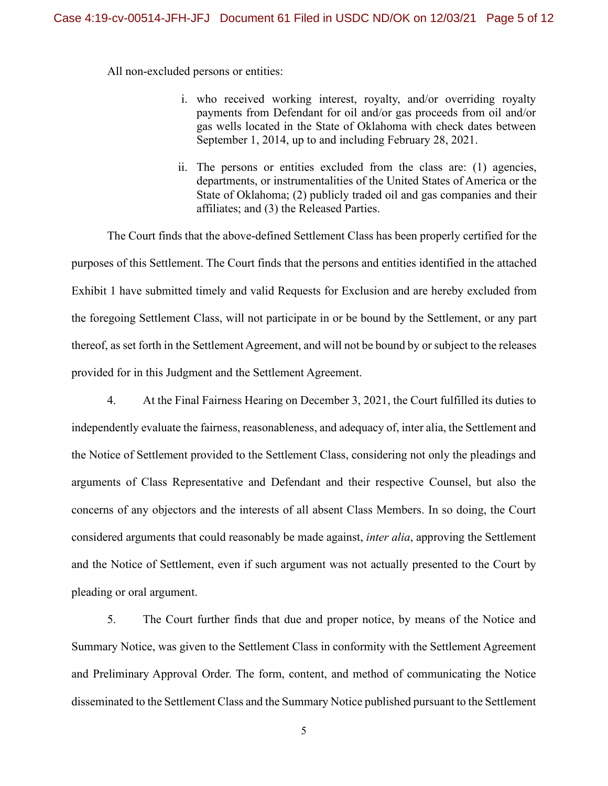All non-excluded persons or entities:

- i. who received working interest, royalty, and/or overriding royalty payments from Defendant for oil and/or gas proceeds from oil and/or gas wells located in the State of Oklahoma with check dates between September 1, 2014, up to and including February 28, 2021.
- ii. The persons or entities excluded from the class are: (1) agencies, departments, or instrumentalities of the United States of America or the State of Oklahoma; (2) publicly traded oil and gas companies and their affiliates; and (3) the Released Parties.

The Court finds that the above-defined Settlement Class has been properly certified for the purposes of this Settlement. The Court finds that the persons and entities identified in the attached Exhibit 1 have submitted timely and valid Requests for Exclusion and are hereby excluded from the foregoing Settlement Class, will not participate in or be bound by the Settlement, or any part thereof, as set forth in the Settlement Agreement, and will not be bound by or subject to the releases provided for in this Judgment and the Settlement Agreement.

4. At the Final Fairness Hearing on December 3, 2021, the Court fulfilled its duties to independently evaluate the fairness, reasonableness, and adequacy of, inter alia, the Settlement and the Notice of Settlement provided to the Settlement Class, considering not only the pleadings and arguments of Class Representative and Defendant and their respective Counsel, but also the concerns of any objectors and the interests of all absent Class Members. In so doing, the Court considered arguments that could reasonably be made against, *inter alia*, approving the Settlement and the Notice of Settlement, even if such argument was not actually presented to the Court by pleading or oral argument.

5. The Court further finds that due and proper notice, by means of the Notice and Summary Notice, was given to the Settlement Class in conformity with the Settlement Agreement and Preliminary Approval Order. The form, content, and method of communicating the Notice disseminated to the Settlement Class and the Summary Notice published pursuant to the Settlement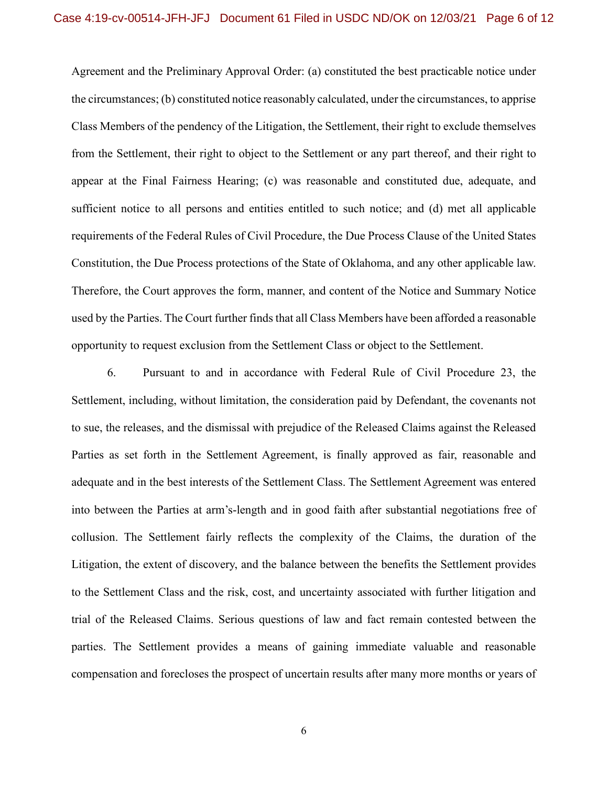Agreement and the Preliminary Approval Order: (a) constituted the best practicable notice under the circumstances; (b) constituted notice reasonably calculated, under the circumstances, to apprise Class Members of the pendency of the Litigation, the Settlement, their right to exclude themselves from the Settlement, their right to object to the Settlement or any part thereof, and their right to appear at the Final Fairness Hearing; (c) was reasonable and constituted due, adequate, and sufficient notice to all persons and entities entitled to such notice; and (d) met all applicable requirements of the Federal Rules of Civil Procedure, the Due Process Clause of the United States Constitution, the Due Process protections of the State of Oklahoma, and any other applicable law. Therefore, the Court approves the form, manner, and content of the Notice and Summary Notice used by the Parties. The Court further finds that all Class Members have been afforded a reasonable opportunity to request exclusion from the Settlement Class or object to the Settlement.

6. Pursuant to and in accordance with Federal Rule of Civil Procedure 23, the Settlement, including, without limitation, the consideration paid by Defendant, the covenants not to sue, the releases, and the dismissal with prejudice of the Released Claims against the Released Parties as set forth in the Settlement Agreement, is finally approved as fair, reasonable and adequate and in the best interests of the Settlement Class. The Settlement Agreement was entered into between the Parties at arm's-length and in good faith after substantial negotiations free of collusion. The Settlement fairly reflects the complexity of the Claims, the duration of the Litigation, the extent of discovery, and the balance between the benefits the Settlement provides to the Settlement Class and the risk, cost, and uncertainty associated with further litigation and trial of the Released Claims. Serious questions of law and fact remain contested between the parties. The Settlement provides a means of gaining immediate valuable and reasonable compensation and forecloses the prospect of uncertain results after many more months or years of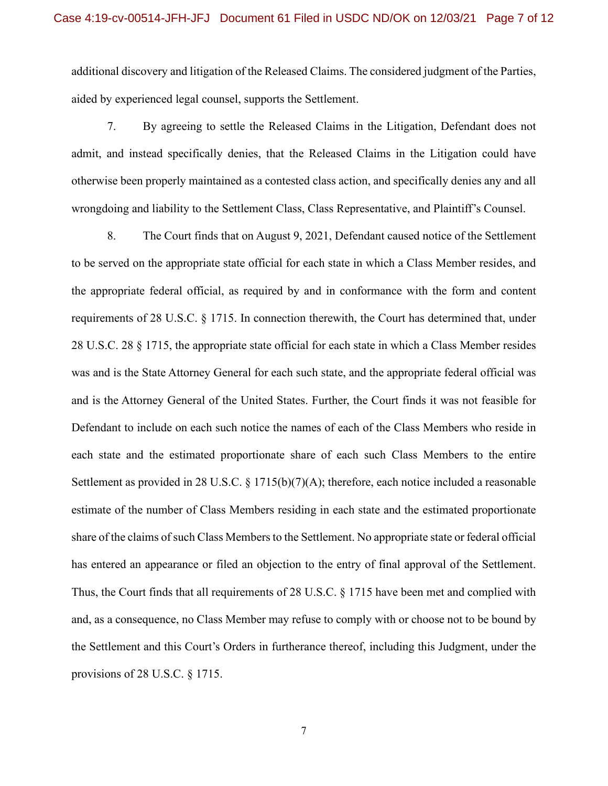additional discovery and litigation of the Released Claims. The considered judgment of the Parties, aided by experienced legal counsel, supports the Settlement.

7. By agreeing to settle the Released Claims in the Litigation, Defendant does not admit, and instead specifically denies, that the Released Claims in the Litigation could have otherwise been properly maintained as a contested class action, and specifically denies any and all wrongdoing and liability to the Settlement Class, Class Representative, and Plaintiff's Counsel.

8. The Court finds that on August 9, 2021, Defendant caused notice of the Settlement to be served on the appropriate state official for each state in which a Class Member resides, and the appropriate federal official, as required by and in conformance with the form and content requirements of 28 U.S.C. § 1715. In connection therewith, the Court has determined that, under 28 U.S.C. 28 § 1715, the appropriate state official for each state in which a Class Member resides was and is the State Attorney General for each such state, and the appropriate federal official was and is the Attorney General of the United States. Further, the Court finds it was not feasible for Defendant to include on each such notice the names of each of the Class Members who reside in each state and the estimated proportionate share of each such Class Members to the entire Settlement as provided in 28 U.S.C. § 1715(b)(7)(A); therefore, each notice included a reasonable estimate of the number of Class Members residing in each state and the estimated proportionate share of the claims of such Class Members to the Settlement. No appropriate state or federal official has entered an appearance or filed an objection to the entry of final approval of the Settlement. Thus, the Court finds that all requirements of 28 U.S.C. § 1715 have been met and complied with and, as a consequence, no Class Member may refuse to comply with or choose not to be bound by the Settlement and this Court's Orders in furtherance thereof, including this Judgment, under the provisions of 28 U.S.C. § 1715.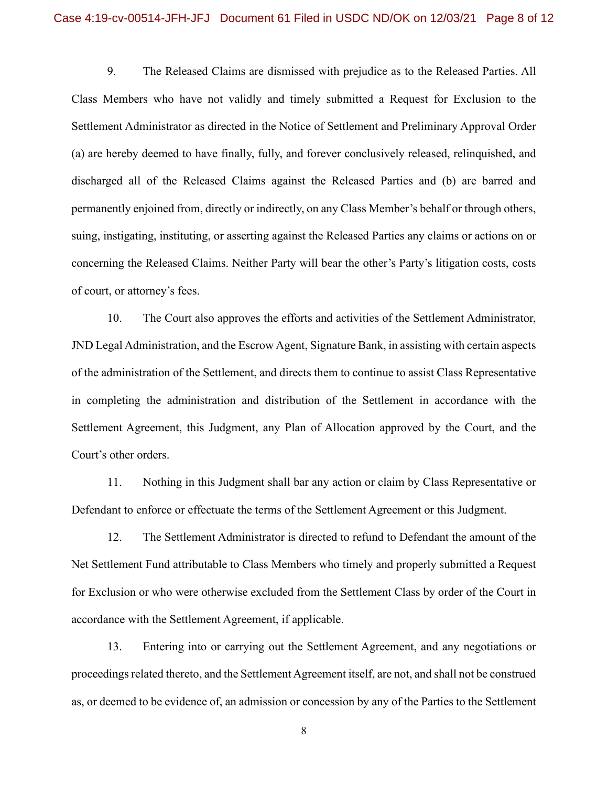9. The Released Claims are dismissed with prejudice as to the Released Parties. All Class Members who have not validly and timely submitted a Request for Exclusion to the Settlement Administrator as directed in the Notice of Settlement and Preliminary Approval Order (a) are hereby deemed to have finally, fully, and forever conclusively released, relinquished, and discharged all of the Released Claims against the Released Parties and (b) are barred and permanently enjoined from, directly or indirectly, on any Class Member's behalf or through others, suing, instigating, instituting, or asserting against the Released Parties any claims or actions on or concerning the Released Claims. Neither Party will bear the other's Party's litigation costs, costs of court, or attorney's fees.

10. The Court also approves the efforts and activities of the Settlement Administrator, JND Legal Administration, and the Escrow Agent, Signature Bank, in assisting with certain aspects of the administration of the Settlement, and directs them to continue to assist Class Representative in completing the administration and distribution of the Settlement in accordance with the Settlement Agreement, this Judgment, any Plan of Allocation approved by the Court, and the Court's other orders.

11. Nothing in this Judgment shall bar any action or claim by Class Representative or Defendant to enforce or effectuate the terms of the Settlement Agreement or this Judgment.

12. The Settlement Administrator is directed to refund to Defendant the amount of the Net Settlement Fund attributable to Class Members who timely and properly submitted a Request for Exclusion or who were otherwise excluded from the Settlement Class by order of the Court in accordance with the Settlement Agreement, if applicable.

13. Entering into or carrying out the Settlement Agreement, and any negotiations or proceedings related thereto, and the Settlement Agreement itself, are not, and shall not be construed as, or deemed to be evidence of, an admission or concession by any of the Parties to the Settlement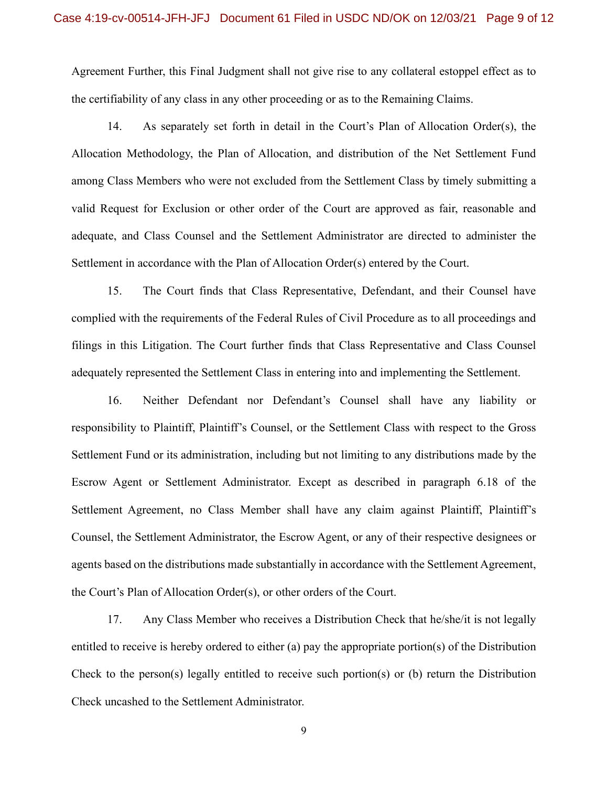Agreement Further, this Final Judgment shall not give rise to any collateral estoppel effect as to the certifiability of any class in any other proceeding or as to the Remaining Claims.

14. As separately set forth in detail in the Court's Plan of Allocation Order(s), the Allocation Methodology, the Plan of Allocation, and distribution of the Net Settlement Fund among Class Members who were not excluded from the Settlement Class by timely submitting a valid Request for Exclusion or other order of the Court are approved as fair, reasonable and adequate, and Class Counsel and the Settlement Administrator are directed to administer the Settlement in accordance with the Plan of Allocation Order(s) entered by the Court.

15. The Court finds that Class Representative, Defendant, and their Counsel have complied with the requirements of the Federal Rules of Civil Procedure as to all proceedings and filings in this Litigation. The Court further finds that Class Representative and Class Counsel adequately represented the Settlement Class in entering into and implementing the Settlement.

16. Neither Defendant nor Defendant's Counsel shall have any liability or responsibility to Plaintiff, Plaintiff's Counsel, or the Settlement Class with respect to the Gross Settlement Fund or its administration, including but not limiting to any distributions made by the Escrow Agent or Settlement Administrator. Except as described in paragraph 6.18 of the Settlement Agreement, no Class Member shall have any claim against Plaintiff, Plaintiff's Counsel, the Settlement Administrator, the Escrow Agent, or any of their respective designees or agents based on the distributions made substantially in accordance with the Settlement Agreement, the Court's Plan of Allocation Order(s), or other orders of the Court.

17. Any Class Member who receives a Distribution Check that he/she/it is not legally entitled to receive is hereby ordered to either (a) pay the appropriate portion(s) of the Distribution Check to the person(s) legally entitled to receive such portion(s) or (b) return the Distribution Check uncashed to the Settlement Administrator.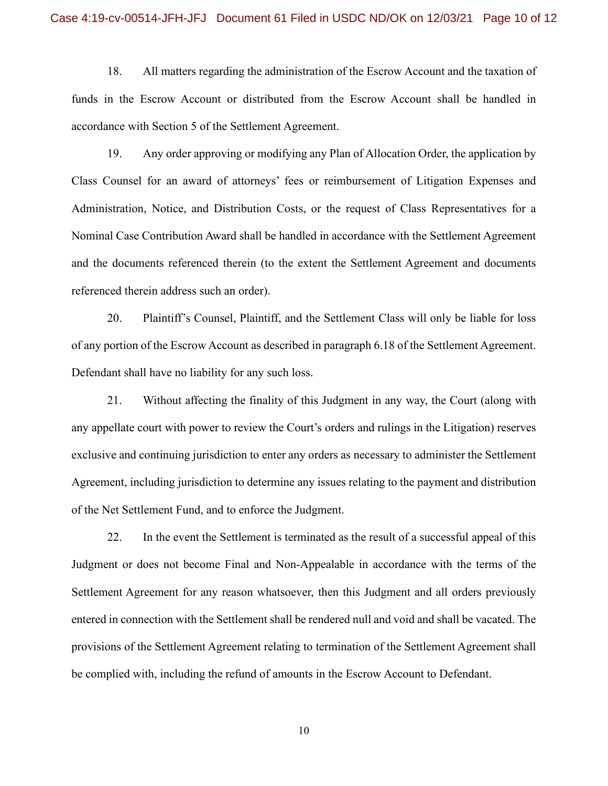18. All matters regarding the administration of the Escrow Account and the taxation of funds in the Escrow Account or distributed from the Escrow Account shall be handled in accordance with Section 5 of the Settlement Agreement.

19. Any order approving or modifying any Plan of Allocation Order, the application by Class Counsel for an award of attorneys' fees or reimbursement of Litigation Expenses and Administration, Notice, and Distribution Costs, or the request of Class Representatives for a Nominal Case Contribution Award shall be handled in accordance with the Settlement Agreement and the documents referenced therein (to the extent the Settlement Agreement and documents referenced therein address such an order).

20. Plaintiff's Counsel, Plaintiff, and the Settlement Class will only be liable for loss of any portion of the Escrow Account as described in paragraph 6.18 of the Settlement Agreement. Defendant shall have no liability for any such loss.

21. Without affecting the finality of this Judgment in any way, the Court (along with any appellate court with power to review the Court's orders and rulings in the Litigation) reserves exclusive and continuing jurisdiction to enter any orders as necessary to administer the Settlement Agreement, including jurisdiction to determine any issues relating to the payment and distribution of the Net Settlement Fund, and to enforce the Judgment.

22. In the event the Settlement is terminated as the result of a successful appeal of this Judgment or does not become Final and Non-Appealable in accordance with the terms of the Settlement Agreement for any reason whatsoever, then this Judgment and all orders previously entered in connection with the Settlement shall be rendered null and void and shall be vacated. The provisions of the Settlement Agreement relating to termination of the Settlement Agreement shall be complied with, including the refund of amounts in the Escrow Account to Defendant.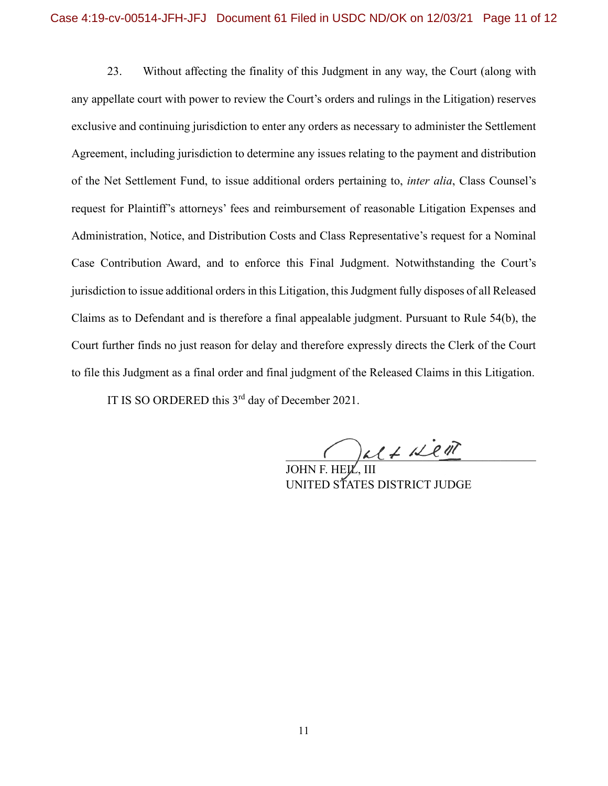23. Without affecting the finality of this Judgment in any way, the Court (along with any appellate court with power to review the Court's orders and rulings in the Litigation) reserves exclusive and continuing jurisdiction to enter any orders as necessary to administer the Settlement Agreement, including jurisdiction to determine any issues relating to the payment and distribution of the Net Settlement Fund, to issue additional orders pertaining to, *inter alia*, Class Counsel's request for Plaintiff's attorneys' fees and reimbursement of reasonable Litigation Expenses and Administration, Notice, and Distribution Costs and Class Representative's request for a Nominal Case Contribution Award, and to enforce this Final Judgment. Notwithstanding the Court's jurisdiction to issue additional orders in this Litigation, this Judgment fully disposes of all Released Claims as to Defendant and is therefore a final appealable judgment. Pursuant to Rule 54(b), the Court further finds no just reason for delay and therefore expressly directs the Clerk of the Court to file this Judgment as a final order and final judgment of the Released Claims in this Litigation.

IT IS SO ORDERED this 3<sup>rd</sup> day of December 2021.

 $\bigcap_{k\ell\neq k}\mathbb{Z}$ 

JOHN F. HE**J**L, III UNITED STATES DISTRICT JUDGE